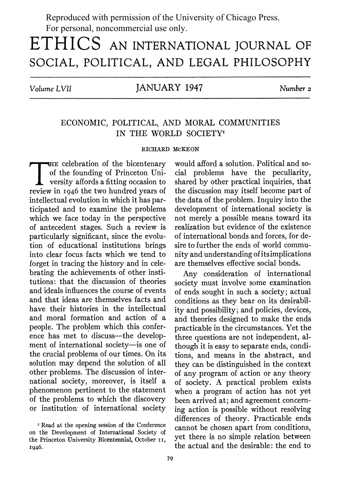Reproduced with permission of the University of Chicago Press. For personal, noncommercial use only.

# **ETHICS AN INTERNATIONAL JOURNAL OF SOCIAL, POLITICAL, AND LEGAL PHILOSOPHY**

**Volume LVII JANUARY 1947 Number <sup>2</sup>**

## **ECONOMIC, POLITICAL, AND MORAL COMMUNITIES**  IN THE WORLD SOCIETY<sup>1</sup>

#### **RICHARD MCKEON**

**E celebration of the bicentenary of the founding of Princeton Uni- , versity affords a fitting occasion to review in I946 the two hundred years of intellectual evolution in which it has participated and to examine the problems which we face today in the perspective of antecedent stages. Such a review is particularly significant, since the evolution of educational institutions brings into clear focus facts which we tend to forget in tracing the history and in celebrating the achievements of other institutions: that the discussion of theories and ideals influences the course of events and that ideas are themselves facts and have their histories in the intellectual and moral formation and action of a people. The problem which this conference has met to discuss-the development of international society-is one of the crucial problems of our times. On its solution may depend the solution of all other problems. The discussion of international society, moreover, is itself a phenomenon pertinent to the statement of the problems to which the discovery or institution of international society** 

**<sup>I</sup>Read at the opening session of the Conference on the Development of International Society of the Princeton University Bicentennial, October ii, I946.** 

**would afford a solution. Political and social problems have the peculiarity, shared by other practical inquiries, that the discussion may itself become part of the data of the problem. Inquiry into the development of international society is not merely a possible means toward its realization but evidence of the existence of international bonds and forces, for desire to further the ends of world community and understanding of its implications are themselves effective social bonds.** 

**Any consideration of international society must involve some examination of ends sought in such a society; actual conditions as they bear on its desirabil**ity and possibility; and policies, devices, **and theories designed to make the ends practicable in the circumstances. Yet the three questions are not independent, although it is easy to separate ends, conditions, and means in the abstract, and they can be distinguished in the context of any program of action or any theory of society. A practical problem exists when a program of action has not yet been arrived at; and agreement concerning action is possible without resolving differences of theory. Practicable ends cannot be chosen apart from conditions, yet there is no simple relation between the actual and the desirable: the end to**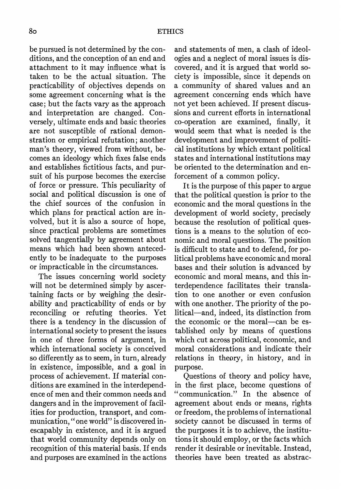**be pursued is not determined by the conditions, and the conception of an end and attachment to it may influence what is taken to be the actual situation. The practicability of objectives depends on some agreement concerning what is the case; but the facts vary as the approach and interpretation are changed. Conversely, ultimate ends and basic theories are not susceptible of rational demonstration or empirical refutation; another man's theory, viewed from without, becomes an ideology which fixes false ends and establishes fictitious facts, and pursuit of his purpose becomes the exercise of force -or pressure. This peculiarity of social and political discussion is one of the chief sources of the confusion in which plans for practical action are involved, but it is also a source of hope, since practical problems are sometimes solved tangentially by agreement about means which had been shown antecedently to be inadequate to the purposes or impracticable in the circumstances.** 

**The issues concerning world society will not be determined simply by ascer- \*taining facts or by weighing the desirability and practicability of ends or by reconciling or refuting theories. Yet there is a tendency in the discussion of international society to present the issues in one of three forms of argument, in which international society is conceived so differently as to seem, in turn, already in existence, impossible, and a goal in process of achievement. If material conditions are examined in the interdependence of men and their common needs and dangers and in the improvement of facilities for production, transport, and communication, "one world" is discovered inescapably in existence, and it is argued that world community depends only on recognition of this material basis. If ends and purposes are examined in the actions**  **and statements of men, a clash of ideologies and a neglect of moral issues is discovered, and it is argued that world society is impossible, since it depends on a community of shared values and an agreement concerning ends which have not yet been achieved. If present discussions and current efforts in international co-operation are examined, finally, it would seem that what is needed is the development and improvement of political institutions by which extant political states and international institutions may be oriented to the determination and enforcement of a common policy.** 

**It is the purpose of this paper to argue that the political question is prior to the economic and the moral questions in the development of world society, precisely because the resolution of political questions is a means to the solution of economic and moral questions. The position is difficult to state and to defend, for political problems have economic and moral bases and their solution is advanced by economic and moral means, and this interdependence facilitates their translation to one another or even confusion with one another. The priority of the political-and, indeed, its distinction from the economic or the moral-can be established only by means of questions which cut across political, economic, and moral considerations and indicate their relations in theory, in history, and in purpose.** 

**Questions of theory and policy have, in the first place, become questions of "communication." In the absence of agreement about ends or means, rights or freedom, the problems of international society cannot be discussed in terms of the purposes it is to achieve, the institutions it should employ, or the facts which render it desirable or inevitable. Instead, theories have been treated as abstrac-**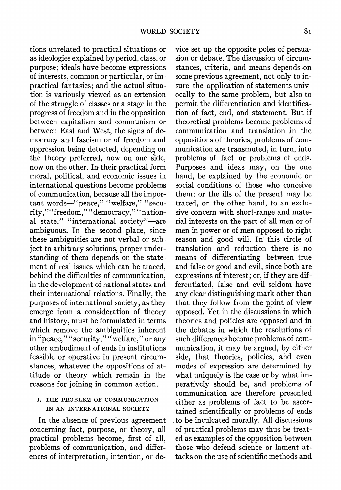**tions unrelated to practical situations or as ideologies explained by period, class, or purpose; ideals have become expressions of interests, common or particular, or impractical fantasies; and the actual situation is variously viewed as an extension of the struggle of classes or a stage in the progress of freedom and in the opposition between capitalism and communism or between East and West, the signs of democracy and fascism or of freedom and oppression being detected, depending on the theory preferred, now on one side, now on the other. In their practical form moral, political, and economic issues in international questions become problems of communication, because all the impor**tant words-"peace," "welfare," "security,""freedom,""democracy,""nation**al state," "international society"-are ambiguous. In the second place, since these ambiguities are not verbal or subject to arbitrary solutions, proper understanding of them depends on the statement of real issues which can be traced, behind the difficulties of communication, in the development of national states and their international relations. Finally, the purposes of international society, as they emerge from a consideration of theory and history, must be formulated in terms which remove the ambiguities inherent in "peace,""security," "welfare," or any other embodiment of ends in institutions feasible or operative in present circumstances, whatever the oppositions of attitude or theory which remain in the reasons for joining in common action.** 

### **I. THE PROBLEM OF COMMUNICATION IN AN INTERNATIONAL SOCIETY**

**In the absence of previous agreement concerning fact, purpose, or theory, all practical problems become, first of all, problems of communication, and differences of interpretation, intention, or de-**

**vice set up the opposite poles of persuasion or debate. The discussion of circumstances, criteria, and means depends on some previous agreement, not only to insure the application of statements univocally to the same problem, but also to permit the differentiation and identification of fact, end, and statement. But if theoretical problems become problems of communication and translation in the oppositions of theories, problems of communication are transmuted, in turn, into problems of fact or problems of ends. Purposes and ideas may, on the one hand, be explained by the economic or social conditions of those who conceive them; or the ills of the present may be traced, on the other hand, to an exclusive concern with short-range and material interests on the part of all men or of men in power or of men opposed to right reason and good will. In this circle of translation and reduction there is no means of differentiating between true and false or good and evil, since both are expressions of interest; or, if they are differentiated, false and evil seldom have any clear distinguishing mark other than that they follow from the point of view opposed. Yet in the discussions in which theories and policies are opposed and in the debates in which the resolutions of such differences become problems of communication, it may be argued, by either side, that theories, policies, and even modes of expression are determined by what uniquely is the case or by what imperatively should be, and problems of communication are therefore presented either as problems of fact to be ascertained scientifically or problems of ends to be inculcated morally. All discussions of practical problems may thus be treated as examples of the opposition between those who defend science or lament attacks on the use of scientific methods and**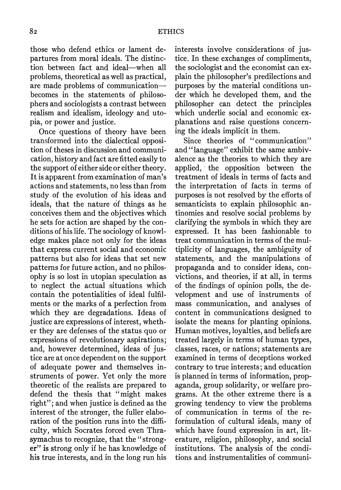**those who, defend ethics or lament departures from moral ideals. The distinction between fact and ideal-when all problems, theoretical as well as practical, are made problems of communication becomes in the statements of philosophers and sociologists a contrast between realism and idealism, ideology and utopia, or power and justice.** 

**Once questions of theory have been transformed into the dialectical opposition of theses in discussion and communication, history and fact are fitted easily to the support of either side or either theory. It is apparent from examination of man's actions and statements, no less than from study of the evolution of his ideas and ideals, that the nature of things as he conceives them and the objectives which he sets for action are shaped by the conditions of his life. The sociology of knowledge makes place not only for the ideas that express current social and economic patterns but also for ideas that set new patterns for future action, and no philosophy is so lost in utopian speculation as to neglect the actual situations which contain the potentialities of ideal fulfilments or the marks of a perfection from which they are degradations. Ideas of justice are expressions of interest, whether they are defenses of the status quo or expressions of revolutionary aspirations; and, however determined, ideas of justice are at once dependent on the support of adequate power and themselves instruments of power. Yet only the more theoretic of the realists are prepared to defend the thesis that "might makes right"; and when justice is defined as the interest of the stronger, the fuller elaboration of the position runs into the difficulty, which Socrates forced even Thrasymachus to recognize, that the " stronger" is strong only if he has knowledge of his true interests, and in the long run his** 

**interests involve considerations of justice. In these exchanges of compliments, the sociologist and the economist can explain the philosopher's predilections and purposes by the material conditions under which he developed them, and the philosopher can detect the principles which underlie social and economic explanations and raise questions concerning the ideals implicit in them.** 

**Since theories of "communication" and "language" exhibit the same ambivalence as the theories to which they are applied, the opposition between the treatment of ideals in terms of facts and the interpretation of facts in terms of purposes is not resolved by the efforts of semanticists to explain philosophic antinomies and resolve social problems by clarifying the symbols in which they are expressed. It has been fashionable to treat communication in terms of the multiplicity of languages, the ambiguity of statements, and the manipulations of propaganda and to consider ideas, convictions, and theories, if at all, in terms of the findings of opinion polls, the development and use of instruments of mass communication, and analyses of content in communications designed to isolate the means for planting opinions. Human motives, loyalties, and beliefs are treated largely in terms of human types, classes, races, or nations; statements are examined in terms of deceptions worked contrary to true interests; and education is planned in terms of information, propaganda, group solidarity, or welfare programs. At the other extreme there is a growing tendency to view the problems of communication in terms of the reformulation of cultural ideals, many of which have found expression in art, literature, religion, philosophy, and social institutions. The analysis of the conditions and instrumentalities of communi-**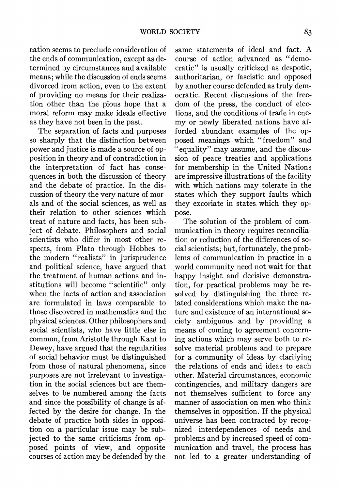**cation seems to preclude consideration of the ends of communication, except as determined by circumstances and available means; while the discussion of ends seems divorced from action, even to the extent of providing no means for their realization other than the pious hope that a moral reform may make ideals effective as they have not been in the past.** 

**The separation of facts and purposes so sharply that the distinction between power and justice is made a source of opposition in theory and of contradiction in the interpretation of fact has consequences in both the discussion of theory and the debate of practice. In the discussion of theory the very nature of morals and of the social sciences, as well as their relation to other sciences which treat of nature and facts, has been subject of debate. Philosophers and social scientists who differ in most other respects, from Plato through Hobbes to the modern "realists" in jurisprudence and political science, have argued that the treatment of human actions and institutions will become "scientific" only when the facts of action and association are formulated in laws comparable to those discovered in mathematics and the physical sciences. Other philosophers and social scientists, who have little else in common, from Aristotle through Kant to Dewey, have argued that the regularities of social behavior must be distinguished from those of natural phenomena, since purposes are not irrelevant to investigation in the social sciences but are themselves to be numbered among the facts and since the possibility of change is affected by the desire for change. In the debate of practice both sides in opposition on a particular issue may be subjected to the same criticisms from opposed points of view, and opposite courses of action may be defended by the** 

**same statements of ideal and fact. A course of action advanced as "democratic" is usually criticized as despotic, authoritarian, or fascistic and opposed by another course defended as truly democratic. Recent discussions of the freedom of the press, the conduct of elections, and the conditions of trade in enemy or newly liberated nations have afforded abundant examples of the opposed meanings which "freedom" and "equality" may assume, and the discussion of peace treaties and applications for membership in the United Nations are impressive illustrations of the facility with which nations may tolerate in the states which they support faults which they excoriate in states which they oppose.** 

**The solution of the problem of communication in theory requires reconciliation or reduction of the differences of social scientists; but, fortunately, the problems of communication in practice in a world community need not wait for that happy insight and decisive demonstration, for practical problems may be resolved by distinguishing the three related considerations which make the nature and existence of an international society ambiguous and by providing a means of coming to agreement concerning actions which may serve both to resolve material problems and to prepare for a community of ideas by clarifying the relations of ends and ideas to each other. Material circumstances, economic contingencies, and military dangers are not themselves sufficient to force any manner of association on men who think themselves in opposition. If the physical universe has been contracted by recognized interdependences of needs and problems and by increased speed of communication and travel, the process has not led to a greater understanding of**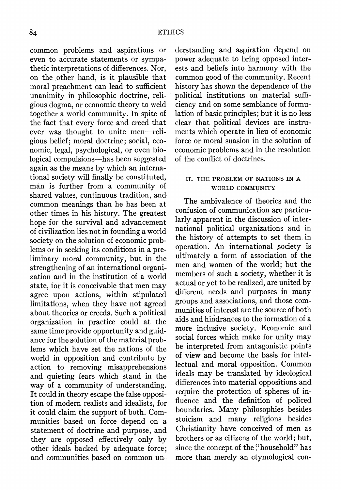**common problems and aspirations or even to accurate statements or sympathetic interpretations of differences. Nor, on the other hand, is it plausible that moral preachment can lead to sufficient unanimity in philosophic doctrine, religious dogma, or economic theory to weld together a world community. In spite of the fact that every force and creed that**  ever was thought to unite men-reli**gious belief; moral doctrine; social, economic, legal, psychological, or even biological compulsions-has been suggested again as the means by which an international society will finally be constituted, man is further from a community of shared values, continuous tradition, and common meanings than he has been at other times in his history. The greatest hope for the survival and advancement of civilization lies not in founding a world society on the solution of economic problems or in seeking its conditions in a preliminary moral community, but in the strengthening of an international organization and in the institution of a world state, for it is conceivable that men may agree upon actions, within stipulated limitations, when they have not agreed about theories or creeds. Such a political organization in practice could at the same time provide opportunity and guidance for the solution of the material problems which have set the nations of the world in opposition and contribute by action to removing misapprehensions and quieting fears which stand in the way of a community of understanding. It could in theory escape the false opposition of modern realists and idealists, for it could claim the support of both. Communities based on force depend on a statement of doctrine and purpose, and they are opposed effectively only by other ideals backed by adequate force; and communities based on common un-** **derstanding and aspiration depend on power adequate to bring opposed interests and beliefs into harmony with the common good of the community. Recent history has shown the dependence of the political institutions on material sufficiency and on some semblance of formulation of basic principles; but it is no less clear that political devices are instruments which operate in lieu of economic force or moral suasion in the solution of economic problems and in the resolution of the conflict of doctrines.** 

#### **1I. THE PROBLEM OF NATIONS IN A WORLD COMMUNITY**

**The ambivalence of theories and the confusion of communication are particularly apparent in the discussion of international political organizations and in the history of attempts to set them in operation. An international society is ultimately a form of association of the men and women of the world; but the members of such a society, whether it is actual or yet to be realized, are united by different needs and purposes in many groups and associations, and those communities of interest are the source of both aids and hindrances to the formation of a more inclusive society. Economic and social forces which make for unity may be interpreted from antagonistic points of view and become the basis for intellectual and moral opposition. Common ideals may be translated by ideological differences into material oppositions and require the protection of spheres of influence and the definition of policed boundaries. Many philosophies besides stoicism and many religions besides Christianity have conceived of men as brothers or as citizens of the world; but, since the concept of the "household" has more than merely an etymological con-**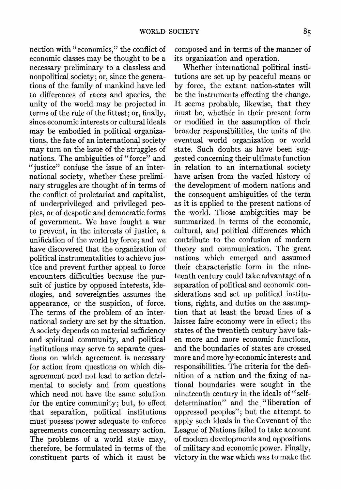**nection with "economics," the conflict of economic classes may be thought to be a necessary preliminary to a classless and nonpolitical society; or, since the generations of the family of mankind have led to differences of races and species, the unity of the world may be projected in terms of the rule of the fittest; or, finally, since economic interests or cultural ideals may be embodied in political organizations, the fate of an international society may turn on the issue of the struggles of nations. The ambiguities of "force" and "justice" confuse the issue of an international society, whether these preliminary struggles are thought of in terms of the conflict of proletariat and capitalist, of underprivileged and privileged peoples, or of despotic and democratic forms of government. We have fought a war to prevent, in the interests of justice, a unification of the world by, force; and we have discovered that the organization of political instrumentalities to achieve justice and prevent further appeal to force encounters difficulties because the pursuit of justice by opposed interests, ideologies, and sovereignties assumes the appearance, or the suspicion, of force. The terms of the problem of an international society are set by the situation. A society depends on material sufficiency and spiritual community, and political institutions may serve to separate questions on which agreement is necessary for action from questions on which disagreement need not lead to action detrimental to society and from questions which need not have the same solution for the entire community; but, to effect that separation, political institutions must possess power adequate to enforce agreements concerning necessary action. The problems of a world state may, therefore, be formulated in terms of the constituent parts of which it must be** 

**composed and in terms of the manner of its organization and operation.** 

**Whether international political institutions are set up by peaceful means or by force, the extant nation-states will be the instruments effecting the change. It seems probable, likewise, that they must be, whether in their present form or modified in the assumption of their broader responsibilities, the units of the eventual -world organization or world state. Such doubts as have been suggested concerning their ultimate function in relation to an international society have arisen from the varied history of the development of -modern nations and the consequent ambiguities of the term as it is applied to the present nations of the world. Those ambiguities may be summarized in terms of the economic, cultural, and political differences which contribute to the confusion of modern theory and communication. The great nations which emerged and assumed their characteristic form in the nineteenth century could take advantage of a separation of political and economic considerations and set up political institutions, rights, and duties on the assumption that at least the broad lines of a laissez faire economy were in effect; the states of the twentieth century have taken more and more economic functions, and the boundaries of states are crossed more and more by economic interests and responsibilities. The criteria for the definition of a nation and the fixing of national boundaries were sought in the nineteenth century in the ideals of " selfdetermination" and the "liberation of oppressed peoples"; but the attempt to apply such ideals in the Covenant of the League of Nations failed to take account of modern developments and oppositions of military and economic power. Finally, victory in the war which was to make the**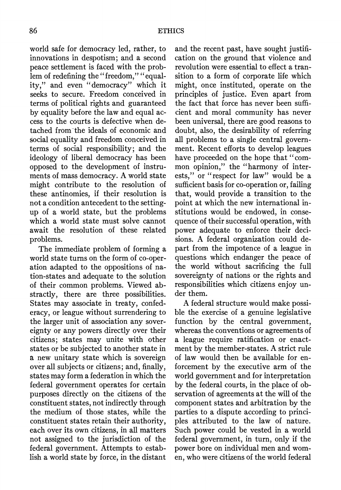**world safe for democracy led, rather, to innovations in despotism; and a second peace settlement is faced with the prob**lem of redefining the "freedom," "equal**ity," and even "democracy" which it seeks to secure. Freedom conceived in terms of political rights and guaranteed by equality before the law and equal access to the courts is defective when detached from-the ideals of economic and social equality and freedom conceived in terms of social responsibility; and the ideology of liberal democracy has been opposed to the development of instruments of mass democracy. A world state might contribute to the resolution of these antinomies, if their resolution is not a condition antecedent to the settingup of a world state, but the problems which a world state must solve cannot await the resolution of these related problems.** 

**The immediate problem of forming a world state turns on the form of co-operation adapted to the oppositions of nation-states and adequate to the solution of their common problems. Viewed abstractly, there are three possibilities. States may associate in treaty, confederacy, or league without surrendering to the larger unit of association any sovereignty or any powers directly over their citizens; states may unite with other states or be subjected to another state in a new unitary state which is sovereign over all subjects or citizens; and, finally, states may form a federation in which the federal government operates for certain purposes directly on the citizens of the constituent states, not indirectly through the medium of those states, while the constituent states retain their authority, each over its own citizens, in all matters not assigned to the jurisdiction of the federal government. Attempts to establish a world state by force, in the distant** 

**and the recent past, have sought justification on the ground that violence and revolution were essential to effect a transition to a form of corporate life which might, once instituted, operate on the principles of justice. Even apart from the fact that force has never been sufficient and moral community has never been universal, there are good reasons to doubt, also, the desirability of referring all problems to a single central government. Recent efforts to develop leagues have proceeded on the hope that "common opinion," the "harmony of interests," or "respect for law" would be a sufficient basis for co-operation or, failing that, would provide a transition to the point at which the new international institutions would be endowed, in consequence of their successful operation, with power adequate to enforce their decisions. A federal organization could depart from the impotence of a league in questions which endanger the peace of the world without sacrificing the full sovereignty of nations or the rights and responsibilities which citizens enjoy under them.** 

**A federal structure would make possible the exercise of a genuine legislative function by the central government, whereas the conventions or agreements of a league require ratification or enactment by the member-states. A strict rule of law would then be available for enforcement by the executive arm of the world government and for interpretation by the federal courts, in the place of observation of agreements at the will of the component states and arbitration by the parties to a dispute according to principles attributed to the law of nature. Such power could be vested in a world federal government, in turn, only if the power bore on individual men and women, who were citizens of the world federal**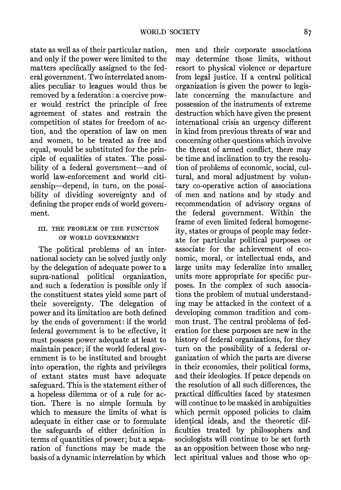**state as well as of their particular nation, and only if the power were limited to the matters specifically assigned to the federal government. Two interrelated anomalies peculiar to leagues would thus be removed by a federation: a coercive power would restrict the principle of free agreement of states and restrain the competition of states for freedom of action, and the operation of law on men and women, to be treated as free and equal, would be substituted for the principle of equalities of states. The possibility of a federal government-and of world law-enforcement and world citizenship-depend, in turn, on the possibility of dividing sovereignty and of defining the proper ends of world government.** 

### **III. THE PROBLEM OF THE FUNCTION OF WORLD GOVERNMENT**

**The political problems of an international society can be solved justly only by the delegation of adequate power to a**  supra-national political **and such a federation is possible only if the constituent states yield some part of their sovereignty. The delegation of power and its limitation are both defined by the ends of government: if the world federal government is to be effective, it must possess power adequate at least to maintain peace; if the world federal government is to be instituted and brought into operation, the rights and privileges of extant states must have adequate safeguard. This is the statement either of**  a hopeless dilemma or of a rule for ac**tion. There is no simple formula by which to measure the limits of what is adequate in either case or to formulate the safeguards of either definition in terms of quantities of power; but a separation of functions may be made the basis of a dynamic interrelation by which** 

**men and their corporate associations may determine those limits, without resort to physical violence or departure from legal justice. If a central political organization is given the power to legislate concerning the manufacture and possession of the instruments of extreme destruction which have given the present international crisis an urgency different in kind from previous threats of war and concerning other questions which involve the threat of armed conflict, there may be time and inclination to try the resolution of problems of economic, social, cultural, and moral adjustment by voluntary co-operative action of associations of men and nations and by study and recommendation of advisory organs of the federal government. Within the frame of even limited federal homogeneity, states or groups of people may federate for particular political purposes or associate for the achievement of economic, moral, or intellectual ends, and**  large units may federalize into smaller **units more appropriate for specific purposes. In the complex of such associations the problem of mutual understanding may be attacked in the context of a developing common tradition and common trust. The central problems of federation for these purposes are new in the history of federal organizations, for they turn on the possibility of a federal organization of which the parts are diverse in their economies, their political forms, and their ideologies. If peace depends on the resolution of all such differences, the practical difficulties faced by statesmen will continue to be masked in ambiguities which permit opposed policies to claim identical ideals, and the theoretic difficulties treated by philosophers and sociologists will continue to be set forth as an opposition between those who neglect spiritual values and those who op-**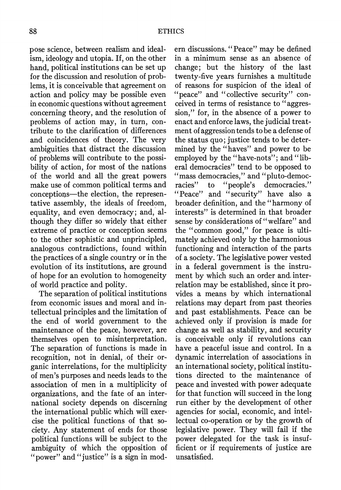**pose science, between realism and idealism, ideology and utopia. If, on the other hand, political institutions can be set up for the discussion and resolution of problems, it is conceivable that agreement on action and policy may be possible even in economic questions without agreement concerning theory, and the resolution of problems of action may, in turn, contribute to the clarification of differences and coincidences of theory. The very ambiguities that distract the discussion of problems will contribute to the possibility of action, for most of the nations of the world and all the great powers make use of common political terms and conceptions-the election, the representative assembly, the ideals of freedom, equality, and even democracy; and, although they differ so widely that either extreme of practice or conception seems to the other sophistic and unprincipled, analogous contradictions, found within the practices of a single country or in the evolution of its institutions, are ground of hope for an evolution to homogeneity of world practice and polity.** 

**The separation of political institutions from economic issues and moral and intellectual principles and the limitation of the end of world government to the maintenance of the peace, however, are themselves open to misinterpretation. The separation of functions is made in recognition, not in denial, of their organic interrelations, for the multiplicity of men's purposes and needs leads to the association of men in a multiplicity of organizations, and the fate of an international society depends on discerning the international public which will exercise the political functions of that society. Any statement of ends for those political functions will be subject to the ambiguity of which the opposition of "power" and "justice" is a sign in mod-** **ern discussions. "Peace" may be defined in a minimum sense as an absence of change; but the history of the last twenty-five years furnishes a multitude of reasons for suspicion of the ideal of "peace" and "collective security" conceived in terms of resistance to " aggression," for, in the absence of a power to enact and enforce laws, the judicial treatment of aggression tends to be a defense of the status quo; justice tends to be determined by the "haves" and power to be employed by the "have-nots"; and "liberal democracies" tend to be opposed to "mass democracies," and "pluto-democracies" to "people's democracies." "Peace" and "security" have also a broader definition, and the "harmony of interests" is determined in that broader sense by considerations of "welfare" and the "common good," for peace is ultimately achieved only by the harmonious functioning and interaction of the parts of a society. The legislative power vested in a federal government is the instrument by which such an order and. interrelation may be established, since it provides a means by which international relations may depart from past theories and past establishments. Peace can be achieved only if provision is made for change as well as stability, and security is conceivable only if revolutions can have a peaceful issue and control. In a dynamic interrelation of associations in an international society, political institutions directed to the maintenance of peace and invested with power adequate for that function will succeed in the long run either by the development of other agencies for social, economic, and intellectual co-operation or by the growth of legislative power. They will fail if the power delegated for the task is insufficient or if requirements of justice are unsatisfied.**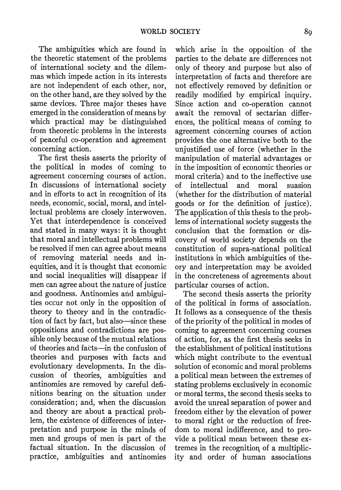**The ambiguities which are found in the theoretic statement of the problems of international society and the dilemmas which impede action in its interests are not independent of each other, nor, on the other hand, are they solved by the same devices. Three major theses have emerged in the consideration of means by which practical may be distinguished from theoretic problems in the interests of peaceful co-operation and agreement concerning action.** 

**The first thesis asserts the priority of the political in modes of coming to agreement concerning courses of action. In discussions of international society and in efforts to act in recognition of its needs, economic, social, moral, and intellectual problems are closely interwoven. Yet that interdependence is conceived and stated in many ways: it is thought that moral and intellectual problems will be resolved if men can agree about means of removing material needs and inequities, and it is thought that economic and social inequalities will disappear if men can agree about the nature of justice and goodness. Antinomies and ambiguities occur not only in the opposition of theory to theory and in the contradiction of fact by fact, but also-since these oppositions and contradictions are possible only because of the mutual relations of theories and facts-in the confusion of theories and purposes with facts and evolutionary developments. In the discussion of theories, ambiguities and antinomies are removed by careful definitions bearing on the situation under consideration; and, when the discussion and theory are about a practical problem, the existence of differences of interpretation and purpose in the minds of men and groups of men is part of the factual situation. In the discussion of practice, ambiguities and antinomies** 

**which arise in the opposition of the parties to the debate are differences not only of theory and purpose but also of interpretation of facts and therefore are not effectively removed by definition or readily modified by empirical inquiry. Since action and co-operation cannot await the removal of sectarian differences, the political means of coming to agreement concerning courses of action provides the one alternative both to the unjustified use of force (whether in the manipulation of material advantages or in the imposition of economic theories or moral criteria) and to the ineffective use of intellectual and moral suasion (whether for the distribution of material goods or for the definition of justice). The application of this thesis to the problems of international society suggests the conclusion that the formation or discovery of world society depends on the constitution of supra-national political institutions in which ambiguities of theory and interpretation may be avoided in the concreteness of agreements about particular courses of action.** 

**The second thesis asserts the priority of the political in forms of association. It follows as a consequence of the thesis of the priority of the political in modes of coming to agreement concerning courses of action, for, as the first thesis seeks in the establishment of political institutions which might contribute to the eventual solution of economic and moral problems a political mean between the extremes of stating problems exclusively in economic or moral terms, the second thesis seeks to avoid the unreal separation of power and freedom either by the elevation of power to moral right or the reduction of freedom to moral indifference, and to provide a political mean between these extremes in the recognition of a multiplicity and order of human associations**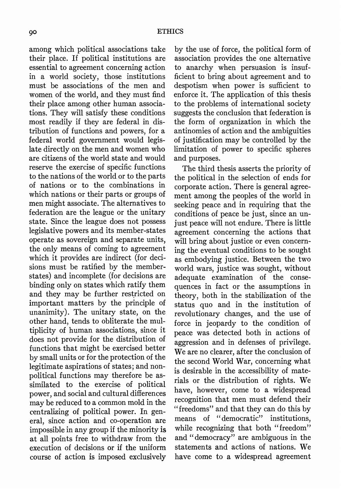**among which political associations take their place. If political institutions are essential to agreement concerning action in a world society, those institutions must be associations of the men and women of the world, and they must find their place among other human associations. They will satisfy these conditions most readily if they are federal in distribution of functions and powers, for a federal world government would legislate directly on the men and women who are citizens of the world state and would reserve the exercise of specific functions to the nations of the world or to the parts of nations or to the combinations in which nations or their parts or groups of men might associate. The alternatives to federation are the league or the unitary state. Since the league does not possess legislative powers and its member-states operate as sovereign and separate units, the only means of coming to agreement which it provides are indirect (for decisions must be ratified by the memberstates) and incomplete (for decisions are binding only on states which ratify them and they may be further restricted on important matters by the principle of unanimity). The unitary state, on the other hand, tends to obliterate the multiplicity of human associations, since it does not provide for the distribution of functions that might be exercised better by small units or for the protection of the legitimate aspirations of states; and nonpolitical functions may therefore be assimilated to the exercise of political power, and social and cultural differences may be reduced to a common mold in the centralizing of political power. In general, since action and co-operation are impossible in any group if the minority is at all points free to withdraw from the execution of decisions or if the uniform course of action is imposed exclusively** 

**by the use of force, the political form of association provides the one alternative to anarchy when persuasion is insufficient to bring about agreement and to despotism when power is sufficient to enforce it. The application of this thesis to the problems of international society suggests the conclusion that federation is the form of organization in which the antinomies of action and the ambiguities of justification may be controlled by the limitation of power to specific spheres and purposes.** 

**The third thesis asserts the priority of the political in the selection of ends for corporate action. There is general agreement among the peoples of the world in seeking peace and in requiring that the conditions of peace be just, since an unjust peace will not endure. There is little agreement concerning the actions that will bring about justice or even concerning the eventual conditions to be sought as embodying justice. Between the two world wars, justice was sought, without adequate examination of the consequences in fact or the assumptions in theory, both in the stabilization of the status quo and in the institution of revolutionary changes, and the use of force in jeopardy to the condition of peace was detected both in actions of aggression and in defenses of privilege. We are no clearer, after the conclusion of the second World War, concerning what is desirable in the accessibility of materials or the distribution of rights. We have, however, come to a widespread recognition that men must defend their "freedoms" and that they can do this by means of "democratic" institutions, while recognizing that both "freedom" and "democracy" are ambiguous in the statements and actions of nations. We have come to a widespread agreement**